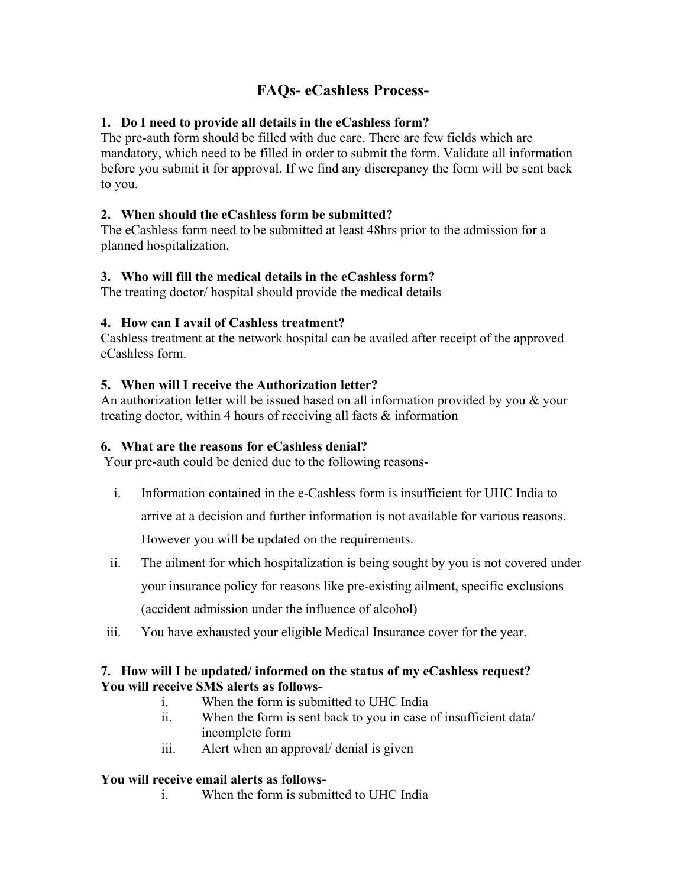# **FAQs- eCashless Process-**

## **1. Do I need to provide all details in the eCashless form?**

The pre-auth form should be filled with due care. There are few fields which are mandatory, which need to be filled in order to submit the form. Validate all information before you submit it for approval. If we find any discrepancy the form will be sent back to you.

## **2. When should the eCashless form be submitted?**

The eCashless form need to be submitted at least 48hrs prior to the admission for a planned hospitalization.

## **3. Who will fill the medical details in the eCashless form?**

The treating doctor/ hospital should provide the medical details

### **4. How can I avail of Cashless treatment?**

Cashless treatment at the network hospital can be availed after receipt of the approved eCashless form.

## **5. When will I receive the Authorization letter?**

An authorization letter will be issued based on all information provided by you  $\&$  your treating doctor, within 4 hours of receiving all facts & information

## **6. What are the reasons for eCashless denial?**

Your pre-auth could be denied due to the following reasons-

i. Information contained in the e-Cashless form is insufficient for UHC India to

arrive at a decision and further information is not available for various reasons.

However you will be updated on the requirements.

- ii. The ailment for which hospitalization is being sought by you is not covered under your insurance policy for reasons like pre-existing ailment, specific exclusions (accident admission under the influence of alcohol)
- iii. You have exhausted your eligible Medical Insurance cover for the year.

### **7. How will I be updated/ informed on the status of my eCashless request? You will receive SMS alerts as follows-**

- i. When the form is submitted to UHC India
- ii. When the form is sent back to you in case of insufficient data/ incomplete form
- iii. Alert when an approval/ denial is given

### **You will receive email alerts as follows-**

i. When the form is submitted to UHC India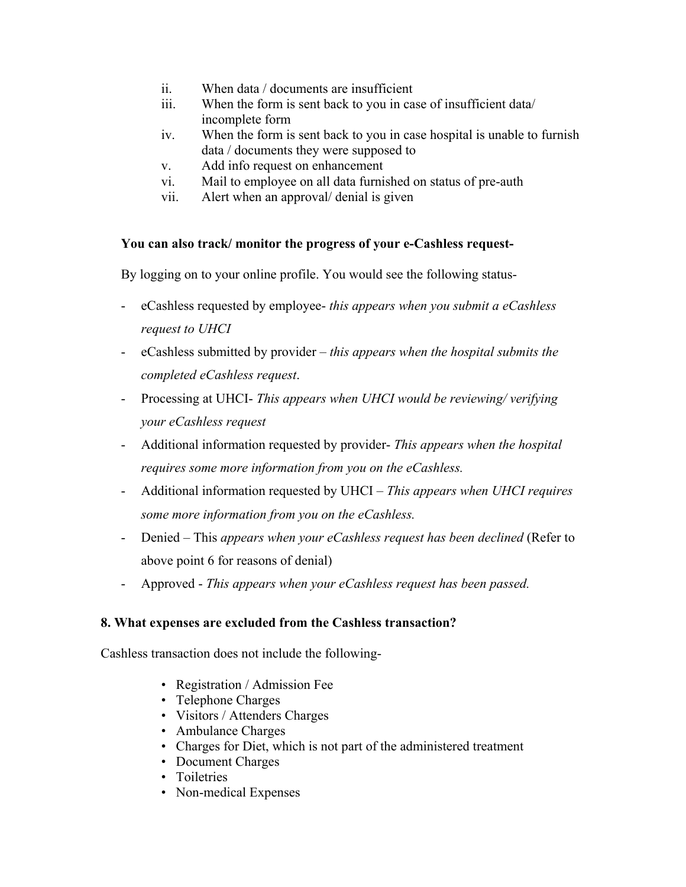- ii. When data / documents are insufficient
- iii. When the form is sent back to you in case of insufficient data/ incomplete form
- iv. When the form is sent back to you in case hospital is unable to furnish data / documents they were supposed to
- v. Add info request on enhancement
- vi. Mail to employee on all data furnished on status of pre-auth
- vii. Alert when an approval/ denial is given

#### **You can also track/ monitor the progress of your e-Cashless request-**

By logging on to your online profile. You would see the following status-

- eCashless requested by employee- *this appears when you submit a eCashless request to UHCI*
- eCashless submitted by provider *this appears when the hospital submits the completed eCashless request*.
- Processing at UHCI- *This appears when UHCI would be reviewing/ verifying your eCashless request*
- Additional information requested by provider- *This appears when the hospital requires some more information from you on the eCashless.*
- Additional information requested by UHCI *This appears when UHCI requires some more information from you on the eCashless.*
- Denied This *appears when your eCashless request has been declined* (Refer to above point 6 for reasons of denial)
- Approved *This appears when your eCashless request has been passed.*

### **8. What expenses are excluded from the Cashless transaction?**

Cashless transaction does not include the following-

- Registration / Admission Fee
- Telephone Charges
- Visitors / Attenders Charges
- Ambulance Charges
- Charges for Diet, which is not part of the administered treatment
- Document Charges
- Toiletries
- Non-medical Expenses